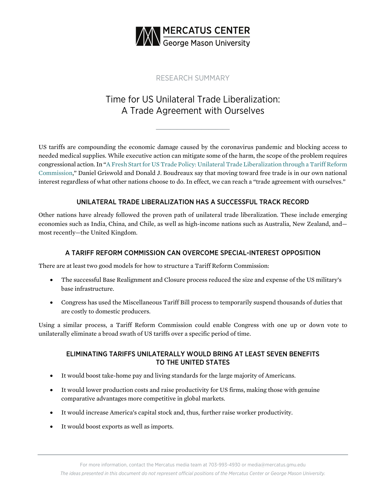

# RESEARCH SUMMARY

# Time for US Unilateral Trade Liberalization: A Trade Agreement with Ourselves

**\_\_\_\_\_\_\_\_\_\_\_\_\_\_\_\_\_\_\_\_\_**

US tariffs are compounding the economic damage caused by the coronavirus pandemic and blocking access to needed medical supplies. While executive action can mitigate some of the harm, the scope of the problem requires congressional action. In "A Fresh Start for [US Trade Policy: Unilateral Trade Liberalization through a Tariff Reform](https://www.mercatus.org/publications/how-us-can-lower-trade-barriers-unilaterally)  [Commission](https://www.mercatus.org/publications/how-us-can-lower-trade-barriers-unilaterally)," Daniel Griswold and Donald J. Boudreaux say that moving toward free trade is in our own national interest regardless of what other nations choose to do. In effect, we can reach a "trade agreement with ourselves."

## UNILATERAL TRADE LIBERALIZATION HAS A SUCCESSFUL TRACK RECORD

Other nations have already followed the proven path of unilateral trade liberalization. These include emerging economies such as India, China, and Chile, as well as high-income nations such as Australia, New Zealand, and most recently—the United Kingdom.

### A TARIFF REFORM COMMISSION CAN OVERCOME SPECIAL-INTEREST OPPOSITION

There are at least two good models for how to structure a Tariff Reform Commission:

- The successful Base Realignment and Closure process reduced the size and expense of the US military's base infrastructure.
- Congress has used the Miscellaneous Tariff Bill process to temporarily suspend thousands of duties that are costly to domestic producers.

Using a similar process, a Tariff Reform Commission could enable Congress with one up or down vote to unilaterally eliminate a broad swath of US tariffs over a specific period of time.

#### ELIMINATING TARIFFS UNILATERALLY WOULD BRING AT LEAST SEVEN BENEFITS TO THE UNITED STATES

- It would boost take-home pay and living standards for the large majority of Americans.
- It would lower production costs and raise productivity for US firms, making those with genuine comparative advantages more competitive in global markets.
- It would increase America's capital stock and, thus, further raise worker productivity.
- It would boost exports as well as imports.